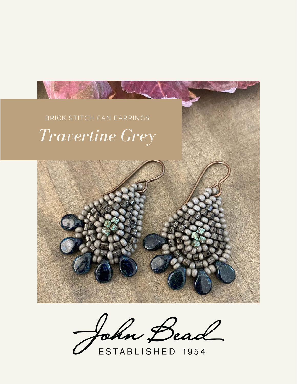

John Bead

ESTABLISHED 1954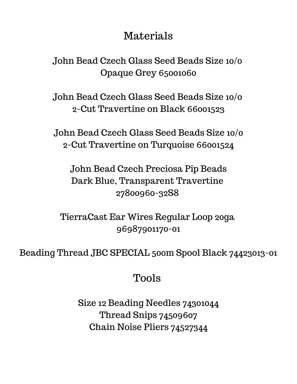## Materials

John Bead Czech Glass Seed Beads Size 10/0 Opaque Grey 65001060

John Bead Czech Glass Seed Beads Size 10/0 2-Cut Travertine on Black 66001523

John Bead Czech Glass Seed Beads Size 10/0 2-Cut Travertine on Turquoise 66001524

John Bead Czech Preciosa Pip Beads Dark Blue, Transparent Travertine 27800960-32S8

TierraCast Ear Wires Regular Loop 20ga 96987901170-01

Beading Thread JBC SPECIAL 500m Spool Black 74423013-01

## Tools

Size 12 Beading Needles 74301044 Thread Snips 74509607 Chain Noise Pliers 74527344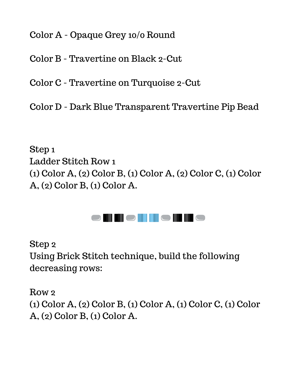Color A - Opaque Grey 10/0 Round

Color B - Travertine on Black 2-Cut

Color C - Travertine on Turquoise 2-Cut

Color D - Dark Blue Transparent Travertine Pip Bead

Step 1 Ladder Stitch Row 1 (1) Color A, (2) Color B, (1) Color A, (2) Color C, (1) Color A, (2) Color B, (1) Color A.



Step 2 Using Brick Stitch technique, build the following decreasing rows:

Row 2

(1) Color A, (2) Color B, (1) Color A, (1) Color C, (1) Color A, (2) Color B, (1) Color A.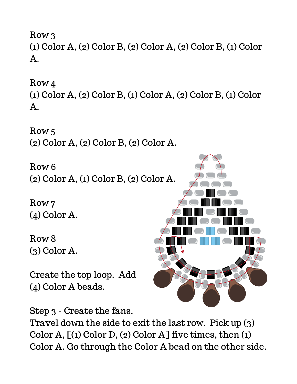Row 3 (1) Color A, (2) Color B, (2) Color A, (2) Color B, (1) Color A.

Row 4

(1) Color A, (2) Color B, (1) Color A, (2) Color B, (1) Color A.

Row 5 (2) Color A, (2) Color B, (2) Color A.

Row 6 (2) Color A, (1) Color B, (2) Color A.

Row 7 (4) Color A.

Row 8 (3) Color A.

Create the top loop. Add (4) Color A beads.



Step 3 - Create the fans.

Travel down the side to exit the last row. Pick up (3) Color A,  $[(1)$  Color D,  $(2)$  Color A] five times, then  $(1)$ Color A. Go through the Color A bead on the other side.